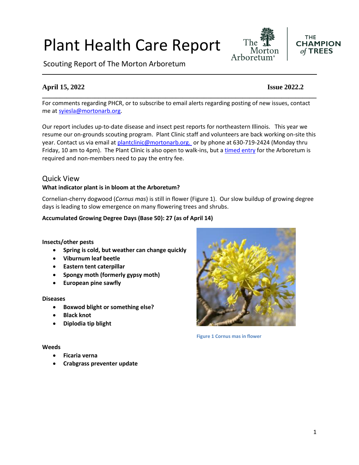# Plant Health Care Report

Scouting Report of The Morton Arboretum

## **April 15, 2022 Issue 2022.2**

For comments regarding PHCR, or to subscribe to email alerts regarding posting of new issues, contact me at [syiesla@mortonarb.org.](mailto:syiesla@mortonarb.org)

**\_\_\_\_\_\_\_\_\_\_\_\_\_\_\_\_\_\_\_\_\_\_\_\_\_\_\_\_\_\_\_\_\_\_\_\_\_\_\_\_\_\_\_\_\_\_\_\_\_\_\_\_\_\_\_\_\_\_\_\_\_\_\_\_\_\_\_\_\_\_\_\_\_\_\_\_\_\_**

Our report includes up-to-date disease and insect pest reports for northeastern Illinois. This year we resume our on-grounds scouting program. Plant Clinic staff and volunteers are back working on-site this year. Contact us via email at [plantclinic@mortonarb.org.](mailto:plantclinic@mortonarb.org) or by phone at 630-719-2424 (Monday thru Friday, 10 am to 4pm). The Plant Clinic is also open to walk-ins, but [a timed entry](https://mortonarb.org/visit-the-arboretum) for the Arboretum is required and non-members need to pay the entry fee.

### Quick View

#### **What indicator plant is in bloom at the Arboretum?**

Cornelian-cherry dogwood (*Cornus mas*) is still in flower (Figure 1). Our slow buildup of growing degree days is leading to slow emergence on many flowering trees and shrubs.

#### **Accumulated Growing Degree Days (Base 50): 27 (as of April 14)**

#### **Insects/other pests**

- **Spring is cold, but weather can change quickly**
- **Viburnum leaf beetle**
- **Eastern tent caterpillar**
- **Spongy moth (formerly gypsy moth)**
- **European pine sawfly**

#### **Diseases**

- **Boxwod blight or something else?**
- **Black knot**
- **Diplodia tip blight**

#### **Weeds**

- **Ficaria verna**
- **Crabgrass preventer update**



**Figure 1 Cornus mas in flower**





The

Arboret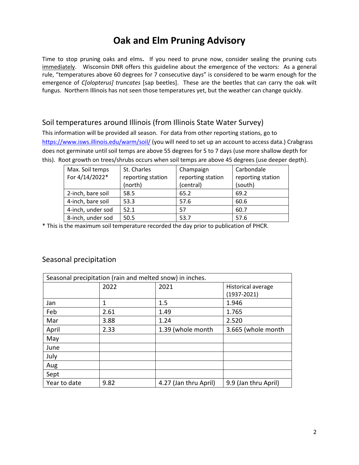## **Oak and Elm Pruning Advisory**

Time to stop pruning oaks and elms**.** If you need to prune now, consider sealing the pruning cuts immediately. Wisconsin DNR offers this guideline about the emergence of the vectors: As a general rule, "temperatures above 60 degrees for 7 consecutive days" is considered to be warm enough for the emergence of *C[olopterus] truncates* [sap beetles]. These are the beetles that can carry the oak wilt fungus. Northern Illinois has not seen those temperatures yet, but the weather can change quickly.

## Soil temperatures around Illinois (from Illinois State Water Survey)

This information will be provided all season. For data from other reporting stations, go to <https://www.isws.illinois.edu/warm/soil/> (you will need to set up an account to access data.) Crabgrass does not germinate until soil temps are above 55 degrees for 5 to 7 days (use more shallow depth for this). Root growth on trees/shrubs occurs when soil temps are above 45 degrees (use deeper depth).

| Max. Soil temps   | St. Charles       | Champaign         | Carbondale        |
|-------------------|-------------------|-------------------|-------------------|
| For 4/14/2022*    | reporting station | reporting station | reporting station |
|                   | (north)           | (central)         | (south)           |
| 2-inch, bare soil | 58.5              | 65.2              | 69.2              |
| 4-inch, bare soil | 53.3              | 57.6              | 60.6              |
| 4-inch, under sod | 52.1              | 57                | 60.7              |
| 8-inch, under sod | 50.5              | 53.7              | 57.6              |

\* This is the maximum soil temperature recorded the day prior to publication of PHCR.

## Seasonal precipitation

| Seasonal precipitation (rain and melted snow) in inches. |      |                       |                           |  |
|----------------------------------------------------------|------|-----------------------|---------------------------|--|
|                                                          | 2022 | 2021                  | <b>Historical average</b> |  |
|                                                          |      |                       | $(1937 - 2021)$           |  |
| Jan                                                      | 1    | 1.5                   | 1.946                     |  |
| Feb                                                      | 2.61 | 1.49                  | 1.765                     |  |
| Mar                                                      | 3.88 | 1.24                  | 2.520                     |  |
| April                                                    | 2.33 | 1.39 (whole month     | 3.665 (whole month        |  |
| May                                                      |      |                       |                           |  |
| June                                                     |      |                       |                           |  |
| July                                                     |      |                       |                           |  |
| Aug                                                      |      |                       |                           |  |
| Sept                                                     |      |                       |                           |  |
| Year to date                                             | 9.82 | 4.27 (Jan thru April) | 9.9 (Jan thru April)      |  |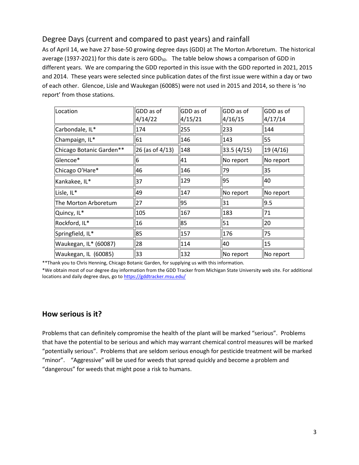## Degree Days (current and compared to past years) and rainfall

As of April 14, we have 27 base-50 growing degree days (GDD) at The Morton Arboretum. The historical average (1937-2021) for this date is zero GDD<sub>50</sub>. The table below shows a comparison of GDD in different years. We are comparing the GDD reported in this issue with the GDD reported in 2021, 2015 and 2014. These years were selected since publication dates of the first issue were within a day or two of each other. Glencoe, Lisle and Waukegan (60085) were not used in 2015 and 2014, so there is 'no report' from those stations.

| Location                 | GDD as of<br>4/14/22 | GDD as of<br>4/15/21 | GDD as of<br>4/16/15 | GDD as of<br>4/17/14 |
|--------------------------|----------------------|----------------------|----------------------|----------------------|
| Carbondale, IL*          | 174                  | 255                  | 233                  | 144                  |
| Champaign, IL*           | 61                   | 146                  | 143                  | 55                   |
| Chicago Botanic Garden** | $26$ (as of 4/13)    | 148                  | 33.5(4/15)           | 19(4/16)             |
| Glencoe*                 | 6                    | 41                   | No report            | No report            |
| Chicago O'Hare*          | 46                   | 146                  | 79                   | 35                   |
| Kankakee, IL*            | 37                   | 129                  | 95                   | 40                   |
| Lisle, IL*               | 49                   | 147                  | No report            | No report            |
| The Morton Arboretum     | 27                   | 95                   | 31                   | 9.5                  |
| Quincy, IL*              | 105                  | 167                  | 183                  | 71                   |
| Rockford, IL*            | 16                   | 85                   | 51                   | 20                   |
| Springfield, IL*         | 85                   | 157                  | 176                  | 75                   |
| Waukegan, IL* (60087)    | 28                   | 114                  | 40                   | 15                   |
| Waukegan, IL (60085)     | 33                   | 132                  | No report            | No report            |

\*\*Thank you to Chris Henning, Chicago Botanic Garden, for supplying us with this information.

\*We obtain most of our degree day information from the GDD Tracker from Michigan State University web site. For additional locations and daily degree days, go to <https://gddtracker.msu.edu/>

## **How serious is it?**

Problems that can definitely compromise the health of the plant will be marked "serious".Problems that have the potential to be serious and which may warrant chemical control measures will be marked "potentially serious". Problems that are seldom serious enough for pesticide treatment will be marked "minor". "Aggressive" will be used for weeds that spread quickly and become a problem and "dangerous" for weeds that might pose a risk to humans.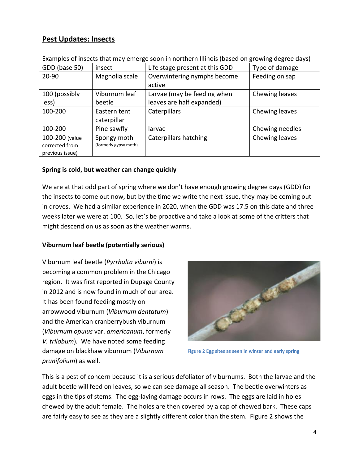## **Pest Updates: Insects**

| Examples of insects that may emerge soon in northern Illinois (based on growing degree days) |                       |                                |                 |
|----------------------------------------------------------------------------------------------|-----------------------|--------------------------------|-----------------|
| GDD (base 50)                                                                                | insect                | Life stage present at this GDD | Type of damage  |
| 20-90                                                                                        | Magnolia scale        | Overwintering nymphs become    | Feeding on sap  |
|                                                                                              |                       | active                         |                 |
| 100 (possibly                                                                                | Viburnum leaf         | Larvae (may be feeding when    | Chewing leaves  |
| less)                                                                                        | beetle                | leaves are half expanded)      |                 |
| 100-200                                                                                      | Eastern tent          | Caterpillars                   | Chewing leaves  |
|                                                                                              | caterpillar           |                                |                 |
| 100-200                                                                                      | Pine sawfly           | larvae                         | Chewing needles |
| 100-200 (value                                                                               | Spongy moth           | <b>Caterpillars hatching</b>   | Chewing leaves  |
| corrected from                                                                               | (formerly gypsy moth) |                                |                 |
| previous issue)                                                                              |                       |                                |                 |

#### **Spring is cold, but weather can change quickly**

We are at that odd part of spring where we don't have enough growing degree days (GDD) for the insects to come out now, but by the time we write the next issue, they may be coming out in droves. We had a similar experience in 2020, when the GDD was 17.5 on this date and three weeks later we were at 100. So, let's be proactive and take a look at some of the critters that might descend on us as soon as the weather warms.

#### **Viburnum leaf beetle (potentially serious)**

Viburnum leaf beetle (*Pyrrhalta viburni*) is becoming a common problem in the Chicago region. It was first reported in Dupage County in 2012 and is now found in much of our area. It has been found feeding mostly on arrowwood viburnum (*Viburnum dentatum*) and the American cranberrybush viburnum (*Viburnum opulus* var. *americanum*, formerly *V. trilobum*)*.* We have noted some feeding damage on blackhaw viburnum (*Viburnum prunifolium*) as well.



**Figure 2 Egg sites as seen in winter and early spring**

This is a pest of concern because it is a serious defoliator of viburnums. Both the larvae and the adult beetle will feed on leaves, so we can see damage all season. The beetle overwinters as eggs in the tips of stems. The egg-laying damage occurs in rows. The eggs are laid in holes chewed by the adult female. The holes are then covered by a cap of chewed bark. These caps are fairly easy to see as they are a slightly different color than the stem. Figure 2 shows the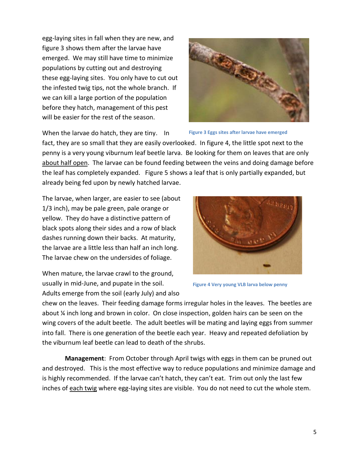egg-laying sites in fall when they are new, and figure 3 shows them after the larvae have emerged. We may still have time to minimize populations by cutting out and destroying these egg-laying sites. You only have to cut out the infested twig tips, not the whole branch. If we can kill a large portion of the population before they hatch, management of this pest will be easier for the rest of the season.



When the larvae do hatch, they are tiny. In

**Figure 3 Eggs sites after larvae have emerged**

fact, they are so small that they are easily overlooked. In figure 4, the little spot next to the penny is a very young viburnum leaf beetle larva. Be looking for them on leaves that are only about half open. The larvae can be found feeding between the veins and doing damage before the leaf has completely expanded. Figure 5 shows a leaf that is only partially expanded, but already being fed upon by newly hatched larvae.

The larvae, when larger, are easier to see (about 1/3 inch), may be pale green, pale orange or yellow. They do have a distinctive pattern of black spots along their sides and a row of black dashes running down their backs. At maturity, the larvae are a little less than half an inch long. The larvae chew on the undersides of foliage.

When mature, the larvae crawl to the ground, usually in mid-June, and pupate in the soil. Adults emerge from the soil (early July) and also



**Figure 4 Very young VLB larva below penny**

chew on the leaves. Their feeding damage forms irregular holes in the leaves. The beetles are about ¼ inch long and brown in color. On close inspection, golden hairs can be seen on the wing covers of the adult beetle. The adult beetles will be mating and laying eggs from summer into fall. There is one generation of the beetle each year. Heavy and repeated defoliation by the viburnum leaf beetle can lead to death of the shrubs.

**Management**: From October through April twigs with eggs in them can be pruned out and destroyed. This is the most effective way to reduce populations and minimize damage and is highly recommended. If the larvae can't hatch, they can't eat. Trim out only the last few inches of each twig where egg-laying sites are visible. You do not need to cut the whole stem.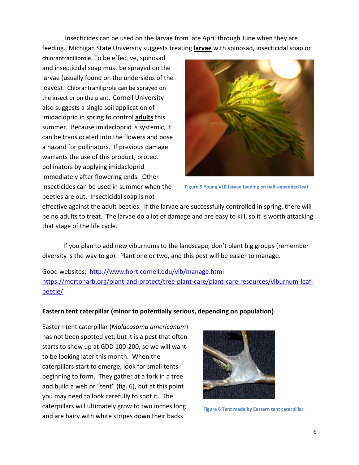Insecticides can be used on the larvae from late April through June when they are feeding. Michigan State University suggests treating **larvae** with spinosad, insecticidal soap or

chlorantraniliprole. To be effective, spinosad and insecticidal soap must be sprayed on the larvae (usually found on the undersides of the leaves). Chlorantraniliprole can be sprayed on the insect or on the plant. Cornell University also suggests a single soil application of imidacloprid in spring to control **adults** this summer. Because imidacloprid is systemic, it can be translocated into the flowers and pose a hazard for pollinators. If previous damage warrants the use of this product, protect pollinators by applying imidacloprid immediately after flowering ends. Other insecticides can be used in summer when the beetles are out. Insecticidal soap is not



**Figure 5 Young VLB larvae feeding on half-expanded leaf**

effective against the adult beetles. If the larvae are successfully controlled in spring, there will be no adults to treat. The larvae do a lot of damage and are easy to kill, so it is worth attacking that stage of the life cycle.

If you plan to add new viburnums to the landscape, don't plant big groups (remember diversity is the way to go). Plant one or two, and this pest will be easier to manage.

Good websites: <http://www.hort.cornell.edu/vlb/manage.html> [https://mortonarb.org/plant-and-protect/tree-plant-care/plant-care-resources/viburnum-leaf](https://mortonarb.org/plant-and-protect/tree-plant-care/plant-care-resources/viburnum-leaf-beetle/)[beetle/](https://mortonarb.org/plant-and-protect/tree-plant-care/plant-care-resources/viburnum-leaf-beetle/)

#### **Eastern tent caterpillar (minor to potentially serious, depending on population)**

Eastern tent caterpillar (*Malacosoma americanum*) has not been spotted yet, but it is a pest that often starts to show up at GDD 100-200, so we will want to be looking later this month. When the caterpillars start to emerge, look for small tents beginning to form. They gather at a fork in a tree and build a web or "tent" (fig. 6), but at this point you may need to look carefully to spot it. The caterpillars will ultimately grow to two inches long and are hairy with white stripes down their backs



**Figure 6 Tent made by Eastern tent caterpillar**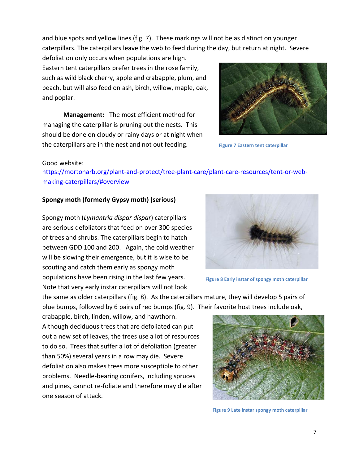and blue spots and yellow lines (fig. 7). These markings will not be as distinct on younger caterpillars. The caterpillars leave the web to feed during the day, but return at night. Severe

defoliation only occurs when populations are high. Eastern tent caterpillars prefer trees in the rose family, such as wild black cherry, apple and crabapple, plum, and peach, but will also feed on ash, birch, willow, maple, oak, and poplar.

**Management:** The most efficient method for managing the caterpillar is pruning out the nests. This should be done on cloudy or rainy days or at night when the caterpillars are in the nest and not out feeding.



**Figure 7 Eastern tent caterpillar**

#### Good website:

[https://mortonarb.org/plant-and-protect/tree-plant-care/plant-care-resources/tent-or-web](https://mortonarb.org/plant-and-protect/tree-plant-care/plant-care-resources/tent-or-web-making-caterpillars/#overview)[making-caterpillars/#overview](https://mortonarb.org/plant-and-protect/tree-plant-care/plant-care-resources/tent-or-web-making-caterpillars/#overview)

#### **Spongy moth (formerly Gypsy moth) (serious)**

Spongy moth (*Lymantria dispar dispar*) caterpillars are serious defoliators that feed on over 300 species of trees and shrubs. The caterpillars begin to hatch between GDD 100 and 200. Again, the cold weather will be slowing their emergence, but it is wise to be scouting and catch them early as spongy moth populations have been rising in the last few years. Note that very early instar caterpillars will not look



**Figure 8 Early instar of spongy moth caterpillar**

the same as older caterpillars (fig. 8). As the caterpillars mature, they will develop 5 pairs of blue bumps, followed by 6 pairs of red bumps (fig. 9). Their favorite host trees include oak,

crabapple, birch, linden, willow, and hawthorn. Although deciduous trees that are defoliated can put out a new set of leaves, the trees use a lot of resources to do so. Trees that suffer a lot of defoliation (greater than 50%) several years in a row may die. Severe defoliation also makes trees more susceptible to other problems. Needle-bearing conifers, including spruces and pines, cannot re-foliate and therefore may die after one season of attack.



**Figure 9 Late instar spongy moth caterpillar**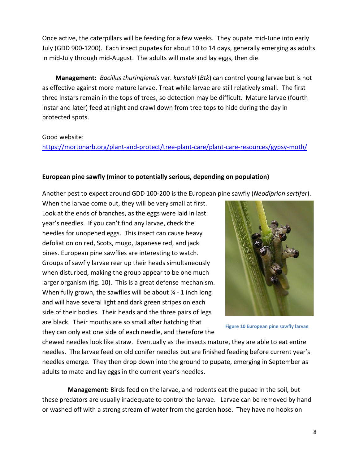Once active, the caterpillars will be feeding for a few weeks. They pupate mid-June into early July (GDD 900-1200). Each insect pupates for about 10 to 14 days, generally emerging as adults in mid-July through mid-August. The adults will mate and lay eggs, then die.

**Management:** *Bacillus thuringiensis* var. *kurstaki* (*Btk*) can control young larvae but is not as effective against more mature larvae. Treat while larvae are still relatively small. The first three instars remain in the tops of trees, so detection may be difficult. Mature larvae (fourth instar and later) feed at night and crawl down from tree tops to hide during the day in protected spots.

#### Good website:

<https://mortonarb.org/plant-and-protect/tree-plant-care/plant-care-resources/gypsy-moth/>

#### **European pine sawfly (minor to potentially serious, depending on population)**

Another pest to expect around GDD 100-200 is the European pine sawfly (*Neodiprion sertifer*).

When the larvae come out, they will be very small at first. Look at the ends of branches, as the eggs were laid in last year's needles. If you can't find any larvae, check the needles for unopened eggs. This insect can cause heavy defoliation on red, Scots, mugo, Japanese red, and jack pines. European pine sawflies are interesting to watch. Groups of sawfly larvae rear up their heads simultaneously when disturbed, making the group appear to be one much larger organism (fig. 10). This is a great defense mechanism. When fully grown, the sawflies will be about  $\frac{3}{4}$  - 1 inch long and will have several light and dark green stripes on each side of their bodies. Their heads and the three pairs of legs are black. Their mouths are so small after hatching that they can only eat one side of each needle, and therefore the



**Figure 10 European pine sawfly larvae**

chewed needles look like straw. Eventually as the insects mature, they are able to eat entire needles. The larvae feed on old conifer needles but are finished feeding before current year's needles emerge. They then drop down into the ground to pupate, emerging in September as adults to mate and lay eggs in the current year's needles.

 **Management:** Birds feed on the larvae, and rodents eat the pupae in the soil, but these predators are usually inadequate to control the larvae. Larvae can be removed by hand or washed off with a strong stream of water from the garden hose. They have no hooks on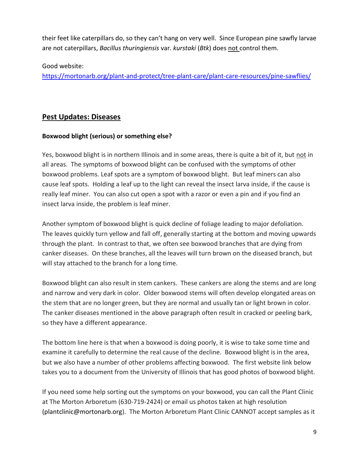their feet like caterpillars do, so they can't hang on very well. Since European pine sawfly larvae are not caterpillars, *Bacillus thuringiensis* var. *kurstaki* (*Btk*) does not control them.

Good website:

<https://mortonarb.org/plant-and-protect/tree-plant-care/plant-care-resources/pine-sawflies/>

## **Pest Updates: Diseases**

## **Boxwood blight (serious) or something else?**

Yes, boxwood blight is in northern Illinois and in some areas, there is quite a bit of it, but not in all areas. The symptoms of boxwood blight can be confused with the symptoms of other boxwood problems. Leaf spots are a symptom of boxwood blight. But leaf miners can also cause leaf spots. Holding a leaf up to the light can reveal the insect larva inside, if the cause is really leaf miner. You can also cut open a spot with a razor or even a pin and if you find an insect larva inside, the problem is leaf miner.

Another symptom of boxwood blight is quick decline of foliage leading to major defoliation. The leaves quickly turn yellow and fall off, generally starting at the bottom and moving upwards through the plant. In contrast to that, we often see boxwood branches that are dying from canker diseases. On these branches, all the leaves will turn brown on the diseased branch, but will stay attached to the branch for a long time.

Boxwood blight can also result in stem cankers. These cankers are along the stems and are long and narrow and very dark in color. Older boxwood stems will often develop elongated areas on the stem that are no longer green, but they are normal and usually tan or light brown in color. The canker diseases mentioned in the above paragraph often result in cracked or peeling bark, so they have a different appearance.

The bottom line here is that when a boxwood is doing poorly, it is wise to take some time and examine it carefully to determine the real cause of the decline. Boxwood blight is in the area, but we also have a number of other problems affecting boxwood. The first website link below takes you to a document from the University of Illinois that has good photos of boxwood blight.

If you need some help sorting out the symptoms on your boxwood, you can call the Plant Clinic at The Morton Arboretum (630-719-2424) or email us photos taken at high resolution (plantclinic@mortonarb.org). The Morton Arboretum Plant Clinic CANNOT accept samples as it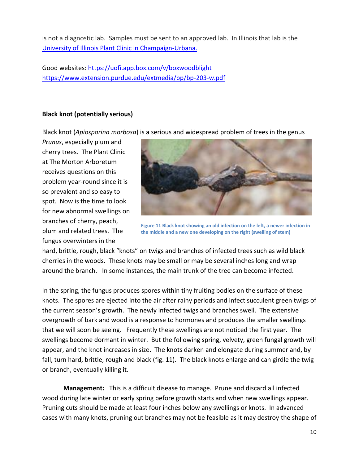is not a diagnostic lab. Samples must be sent to an approved lab. In Illinois that lab is the [University of Illinois Plant Clinic in Champaign-Urbana.](https://extension.illinois.edu/plant-clinic)

Good websites: <https://uofi.app.box.com/v/boxwoodblight> <https://www.extension.purdue.edu/extmedia/bp/bp-203-w.pdf>

#### **Black knot (potentially serious)**

Black knot (*Apiosporina morbosa*) is a serious and widespread problem of trees in the genus

*Prunus*, especially plum and cherry trees. The Plant Clinic at The Morton Arboretum receives questions on this problem year-round since it is so prevalent and so easy to spot. Now is the time to look for new abnormal swellings on branches of cherry, peach, plum and related trees. The fungus overwinters in the



**Figure 11 Black knot showing an old infection on the left, a newer infection in the middle and a new one developing on the right (swelling of stem)**

hard, brittle, rough, black "knots" on twigs and branches of infected trees such as wild black cherries in the woods. These knots may be small or may be several inches long and wrap around the branch. In some instances, the main trunk of the tree can become infected.

In the spring, the fungus produces spores within tiny fruiting bodies on the surface of these knots. The spores are ejected into the air after rainy periods and infect succulent green twigs of the current season's growth. The newly infected twigs and branches swell. The extensive overgrowth of bark and wood is a response to hormones and produces the smaller swellings that we will soon be seeing. Frequently these swellings are not noticed the first year. The swellings become dormant in winter. But the following spring, velvety, green fungal growth will appear, and the knot increases in size. The knots darken and elongate during summer and, by fall, turn hard, brittle, rough and black (fig. 11). The black knots enlarge and can girdle the twig or branch, eventually killing it.

**Management:** This is a difficult disease to manage. Prune and discard all infected wood during late winter or early spring before growth starts and when new swellings appear. Pruning cuts should be made at least four inches below any swellings or knots. In advanced cases with many knots, pruning out branches may not be feasible as it may destroy the shape of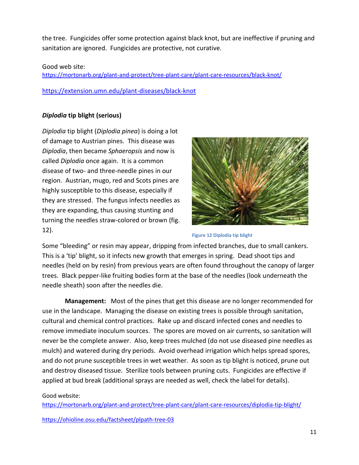the tree. Fungicides offer some protection against black knot, but are ineffective if pruning and sanitation are ignored. Fungicides are protective, not curative.

#### Good web site:

<https://mortonarb.org/plant-and-protect/tree-plant-care/plant-care-resources/black-knot/>

<https://extension.umn.edu/plant-diseases/black-knot>

#### *Diplodia* **tip blight (serious)**

*Diplodia* tip blight (*Diplodia pinea*) is doing a lot of damage to Austrian pines. This disease was *Diplodia*, then became *Sphaeropsis* and now is called *Diplodia* once again. It is a common disease of two- and three-needle pines in our region. Austrian, mugo, red and Scots pines are highly susceptible to this disease, especially if they are stressed. The fungus infects needles as they are expanding, thus causing stunting and turning the needles straw-colored or brown (fig. 12).



**Figure 12 Diplodia tip blight**

Some "bleeding" or resin may appear, dripping from infected branches, due to small cankers. This is a 'tip' blight, so it infects new growth that emerges in spring. Dead shoot tips and needles (held on by resin) from previous years are often found throughout the canopy of larger trees. Black pepper-like fruiting bodies form at the base of the needles (look underneath the needle sheath) soon after the needles die.

**Management:** Most of the pines that get this disease are no longer recommended for use in the landscape. Managing the disease on existing trees is possible through sanitation, cultural and chemical control practices. Rake up and discard infected cones and needles to remove immediate inoculum sources. The spores are moved on air currents, so sanitation will never be the complete answer. Also, keep trees mulched (do not use diseased pine needles as mulch) and watered during dry periods. Avoid overhead irrigation which helps spread spores, and do not prune susceptible trees in wet weather. As soon as tip blight is noticed, prune out and destroy diseased tissue. Sterilize tools between pruning cuts. Fungicides are effective if applied at bud break (additional sprays are needed as well, check the label for details).

#### Good website:

<https://mortonarb.org/plant-and-protect/tree-plant-care/plant-care-resources/diplodia-tip-blight/>

<https://ohioline.osu.edu/factsheet/plpath-tree-03>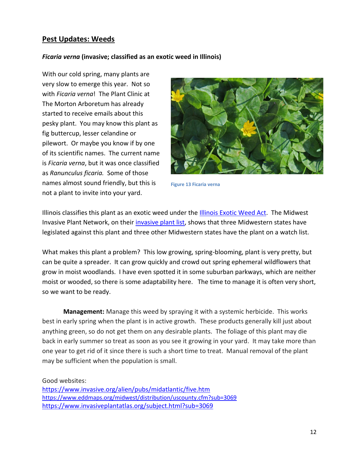## **Pest Updates: Weeds**

#### *Ficaria verna* **(invasive; classified as an exotic weed in Illinois)**

With our cold spring, many plants are very slow to emerge this year. Not so with *Ficaria verna*! The Plant Clinic at The Morton Arboretum has already started to receive emails about this pesky plant. You may know this plant as fig buttercup, lesser celandine or pilewort. Or maybe you know if by one of its scientific names. The current name is *Ficaria verna*, but it was once classified as *Ranunculus ficaria.* Some of those names almost sound friendly, but this is not a plant to invite into your yard.



**Figure 13 Ficaria verna**

Illinois classifies this plant as an exotic weed under the **Illinois Exotic Weed Act**. The Midwest Invasive Plant Network, on their [invasive plant list,](https://www.mipn.org/plantlist/) shows that three Midwestern states have legislated against this plant and three other Midwestern states have the plant on a watch list.

What makes this plant a problem? This low growing, spring-blooming, plant is very pretty, but can be quite a spreader. It can grow quickly and crowd out spring ephemeral wildflowers that grow in moist woodlands. I have even spotted it in some suburban parkways, which are neither moist or wooded, so there is some adaptability here. The time to manage it is often very short, so we want to be ready.

**Management:** Manage this weed by spraying it with a systemic herbicide. This works best in early spring when the plant is in active growth. These products generally kill just about anything green, so do not get them on any desirable plants. The foliage of this plant may die back in early summer so treat as soon as you see it growing in your yard. It may take more than one year to get rid of it since there is such a short time to treat. Manual removal of the plant may be sufficient when the population is small.

Good websites:

<https://www.invasive.org/alien/pubs/midatlantic/five.htm> <https://www.eddmaps.org/midwest/distribution/uscounty.cfm?sub=3069> <https://www.invasiveplantatlas.org/subject.html?sub=3069>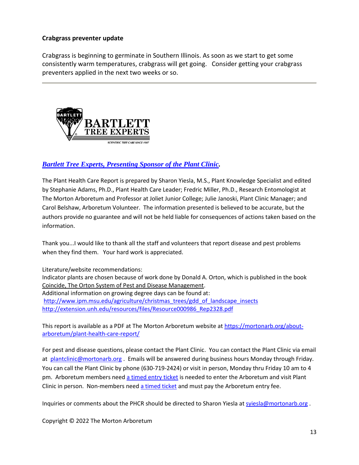#### **Crabgrass preventer update**

Crabgrass is beginning to germinate in Southern Illinois. As soon as we start to get some consistently warm temperatures, crabgrass will get going. Consider getting your crabgrass preventers applied in the next two weeks or so.



## *[Bartlett Tree Experts, Presenting Sponsor of the Plant Clinic.](https://www.bartlett.com/)*

The Plant Health Care Report is prepared by Sharon Yiesla, M.S., Plant Knowledge Specialist and edited by Stephanie Adams, Ph.D., Plant Health Care Leader; Fredric Miller, Ph.D., Research Entomologist at The Morton Arboretum and Professor at Joliet Junior College; Julie Janoski, Plant Clinic Manager; and Carol Belshaw, Arboretum Volunteer. The information presented is believed to be accurate, but the authors provide no guarantee and will not be held liable for consequences of actions taken based on the information.

Thank you...I would like to thank all the staff and volunteers that report disease and pest problems when they find them. Your hard work is appreciated.

Literature/website recommendations: Indicator plants are chosen because of work done by Donald A. Orton, which is published in the book Coincide, The Orton System of Pest and Disease Management. Additional information on growing degree days can be found at: [http://www.ipm.msu.edu/agriculture/christmas\\_trees/gdd\\_of\\_landscape\\_insects](http://www.ipm.msu.edu/agriculture/christmas_trees/gdd_of_landscape_insects) [http://extension.unh.edu/resources/files/Resource000986\\_Rep2328.pdf](http://extension.unh.edu/resources/files/Resource000986_Rep2328.pdf)

This report is available as a PDF at The Morton Arboretum website a[t https://mortonarb.org/about](https://mortonarb.org/about-arboretum/plant-health-care-report/)[arboretum/plant-health-care-report/](https://mortonarb.org/about-arboretum/plant-health-care-report/)

For pest and disease questions, please contact the Plant Clinic. You can contact the Plant Clinic via email at [plantclinic@mortonarb.org](mailto:plantclinic@mortonarb.org) . Emails will be answered during business hours Monday through Friday. You can call the Plant Clinic by phone (630-719-2424) or visit in person, Monday thru Friday 10 am to 4 pm. Arboretum members need [a timed entry ticket](https://mortonarb.org/visit-the-arboretum) is needed to enter the Arboretum and visit Plant Clinic in person. Non-members need [a timed ticket](https://mortonarb.org/visit-the-arboretum) and must pay the Arboretum entry fee.

Inquiries or comments about the PHCR should be directed to Sharon Yiesla a[t syiesla@mortonarb.org](mailto:syiesla@mortonarb.org).

Copyright © 2022 The Morton Arboretum